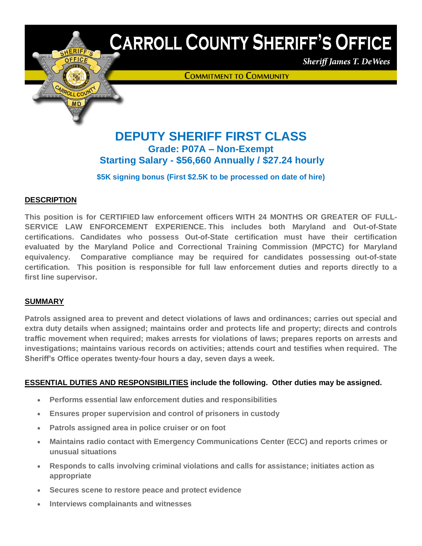

# **CARROLL COUNTY SHERIFF'S OFFICE**

**Sheriff James T. De Wees** 

**COMMITMENT TO COMMUNITY** 

## **DEPUTY SHERIFF FIRST CLASS Grade: P07A – Non-Exempt Starting Salary - \$56,660 Annually / \$27.24 hourly**

**\$5K signing bonus (First \$2.5K to be processed on date of hire)**

## **DESCRIPTION**

**This position is for CERTIFIED law enforcement officers WITH 24 MONTHS OR GREATER OF FULL-SERVICE LAW ENFORCEMENT EXPERIENCE. This includes both Maryland and Out-of-State certifications. Candidates who possess Out-of-State certification must have their certification evaluated by the Maryland Police and Correctional Training Commission (MPCTC) for Maryland equivalency. Comparative compliance may be required for candidates possessing out-of-state certification. This position is responsible for full law enforcement duties and reports directly to a first line supervisor.**

## **SUMMARY**

**Patrols assigned area to prevent and detect violations of laws and ordinances; carries out special and extra duty details when assigned; maintains order and protects life and property; directs and controls traffic movement when required; makes arrests for violations of laws; prepares reports on arrests and investigations; maintains various records on activities; attends court and testifies when required. The Sheriff's Office operates twenty-four hours a day, seven days a week.**

## **ESSENTIAL DUTIES AND RESPONSIBILITIES include the following. Other duties may be assigned.**

- **Performs essential law enforcement duties and responsibilities**
- **Ensures proper supervision and control of prisoners in custody**
- **Patrols assigned area in police cruiser or on foot**
- **Maintains radio contact with Emergency Communications Center (ECC) and reports crimes or unusual situations**
- **Responds to calls involving criminal violations and calls for assistance; initiates action as appropriate**
- **Secures scene to restore peace and protect evidence**
- **Interviews complainants and witnesses**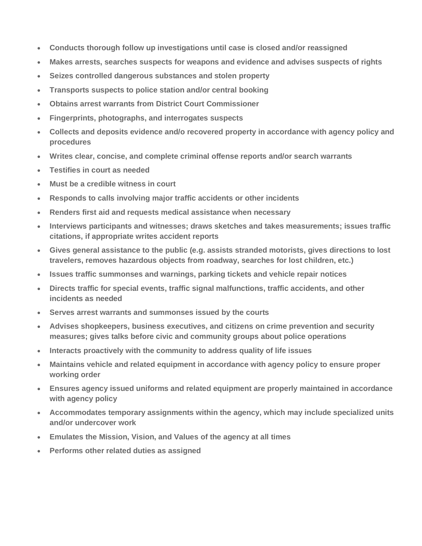- **Conducts thorough follow up investigations until case is closed and/or reassigned**
- **Makes arrests, searches suspects for weapons and evidence and advises suspects of rights**
- **Seizes controlled dangerous substances and stolen property**
- **Transports suspects to police station and/or central booking**
- **Obtains arrest warrants from District Court Commissioner**
- **Fingerprints, photographs, and interrogates suspects**
- **Collects and deposits evidence and/o recovered property in accordance with agency policy and procedures**
- **Writes clear, concise, and complete criminal offense reports and/or search warrants**
- **Testifies in court as needed**
- **Must be a credible witness in court**
- **Responds to calls involving major traffic accidents or other incidents**
- **Renders first aid and requests medical assistance when necessary**
- **Interviews participants and witnesses; draws sketches and takes measurements; issues traffic citations, if appropriate writes accident reports**
- **Gives general assistance to the public (e.g. assists stranded motorists, gives directions to lost travelers, removes hazardous objects from roadway, searches for lost children, etc.)**
- **Issues traffic summonses and warnings, parking tickets and vehicle repair notices**
- **Directs traffic for special events, traffic signal malfunctions, traffic accidents, and other incidents as needed**
- **Serves arrest warrants and summonses issued by the courts**
- **Advises shopkeepers, business executives, and citizens on crime prevention and security measures; gives talks before civic and community groups about police operations**
- **Interacts proactively with the community to address quality of life issues**
- **Maintains vehicle and related equipment in accordance with agency policy to ensure proper working order**
- **Ensures agency issued uniforms and related equipment are properly maintained in accordance with agency policy**
- **Accommodates temporary assignments within the agency, which may include specialized units and/or undercover work**
- **Emulates the Mission, Vision, and Values of the agency at all times**
- **Performs other related duties as assigned**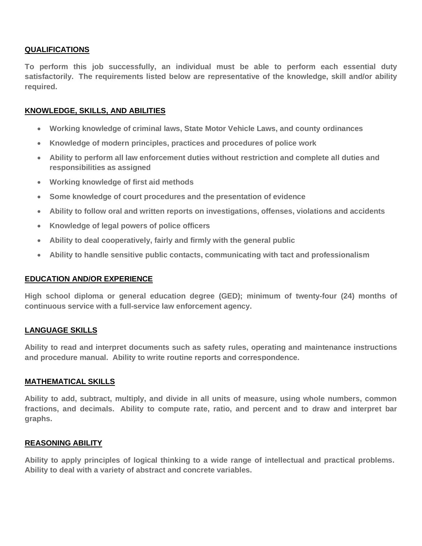#### **QUALIFICATIONS**

**To perform this job successfully, an individual must be able to perform each essential duty satisfactorily. The requirements listed below are representative of the knowledge, skill and/or ability required.**

#### **KNOWLEDGE, SKILLS, AND ABILITIES**

- **Working knowledge of criminal laws, State Motor Vehicle Laws, and county ordinances**
- **Knowledge of modern principles, practices and procedures of police work**
- **Ability to perform all law enforcement duties without restriction and complete all duties and responsibilities as assigned**
- **Working knowledge of first aid methods**
- **Some knowledge of court procedures and the presentation of evidence**
- **Ability to follow oral and written reports on investigations, offenses, violations and accidents**
- **Knowledge of legal powers of police officers**
- **Ability to deal cooperatively, fairly and firmly with the general public**
- **Ability to handle sensitive public contacts, communicating with tact and professionalism**

#### **EDUCATION AND/OR EXPERIENCE**

**High school diploma or general education degree (GED); minimum of twenty-four (24) months of continuous service with a full-service law enforcement agency.**

#### **LANGUAGE SKILLS**

**Ability to read and interpret documents such as safety rules, operating and maintenance instructions and procedure manual. Ability to write routine reports and correspondence.**

#### **MATHEMATICAL SKILLS**

**Ability to add, subtract, multiply, and divide in all units of measure, using whole numbers, common fractions, and decimals. Ability to compute rate, ratio, and percent and to draw and interpret bar graphs.**

#### **REASONING ABILITY**

**Ability to apply principles of logical thinking to a wide range of intellectual and practical problems. Ability to deal with a variety of abstract and concrete variables.**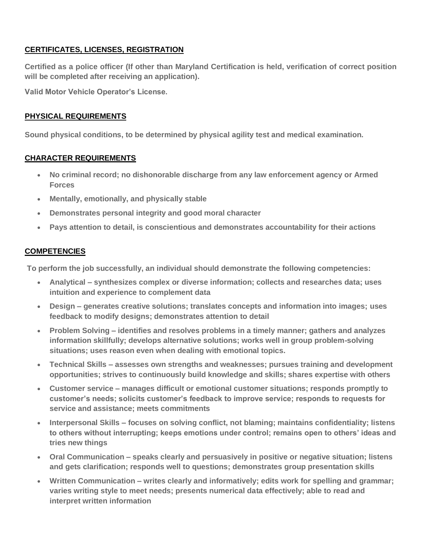## **CERTIFICATES, LICENSES, REGISTRATION**

**Certified as a police officer (If other than Maryland Certification is held, verification of correct position will be completed after receiving an application).**

**Valid Motor Vehicle Operator's License.**

## **PHYSICAL REQUIREMENTS**

**Sound physical conditions, to be determined by physical agility test and medical examination.**

## **CHARACTER REQUIREMENTS**

- **No criminal record; no dishonorable discharge from any law enforcement agency or Armed Forces**
- **Mentally, emotionally, and physically stable**
- **Demonstrates personal integrity and good moral character**
- **Pays attention to detail, is conscientious and demonstrates accountability for their actions**

## **COMPETENCIES**

**To perform the job successfully, an individual should demonstrate the following competencies:**

- **Analytical – synthesizes complex or diverse information; collects and researches data; uses intuition and experience to complement data**
- **Design – generates creative solutions; translates concepts and information into images; uses feedback to modify designs; demonstrates attention to detail**
- **Problem Solving – identifies and resolves problems in a timely manner; gathers and analyzes information skillfully; develops alternative solutions; works well in group problem-solving situations; uses reason even when dealing with emotional topics.**
- **Technical Skills – assesses own strengths and weaknesses; pursues training and development opportunities; strives to continuously build knowledge and skills; shares expertise with others**
- **Customer service – manages difficult or emotional customer situations; responds promptly to customer's needs; solicits customer's feedback to improve service; responds to requests for service and assistance; meets commitments**
- **Interpersonal Skills – focuses on solving conflict, not blaming; maintains confidentiality; listens to others without interrupting; keeps emotions under control; remains open to others' ideas and tries new things**
- **Oral Communication – speaks clearly and persuasively in positive or negative situation; listens and gets clarification; responds well to questions; demonstrates group presentation skills**
- **Written Communication – writes clearly and informatively; edits work for spelling and grammar; varies writing style to meet needs; presents numerical data effectively; able to read and interpret written information**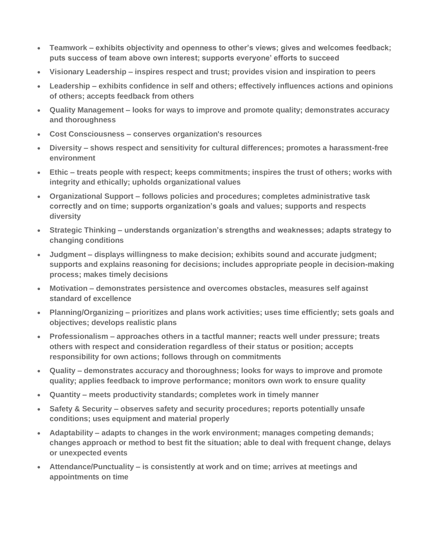- **Teamwork – exhibits objectivity and openness to other's views; gives and welcomes feedback; puts success of team above own interest; supports everyone' efforts to succeed**
- **Visionary Leadership – inspires respect and trust; provides vision and inspiration to peers**
- **Leadership – exhibits confidence in self and others; effectively influences actions and opinions of others; accepts feedback from others**
- **Quality Management – looks for ways to improve and promote quality; demonstrates accuracy and thoroughness**
- **Cost Consciousness – conserves organization's resources**
- **Diversity – shows respect and sensitivity for cultural differences; promotes a harassment-free environment**
- **Ethic – treats people with respect; keeps commitments; inspires the trust of others; works with integrity and ethically; upholds organizational values**
- **Organizational Support – follows policies and procedures; completes administrative task correctly and on time; supports organization's goals and values; supports and respects diversity**
- **Strategic Thinking – understands organization's strengths and weaknesses; adapts strategy to changing conditions**
- **Judgment – displays willingness to make decision; exhibits sound and accurate judgment; supports and explains reasoning for decisions; includes appropriate people in decision-making process; makes timely decisions**
- **Motivation – demonstrates persistence and overcomes obstacles, measures self against standard of excellence**
- **Planning/Organizing – prioritizes and plans work activities; uses time efficiently; sets goals and objectives; develops realistic plans**
- **Professionalism – approaches others in a tactful manner; reacts well under pressure; treats others with respect and consideration regardless of their status or position; accepts responsibility for own actions; follows through on commitments**
- **Quality – demonstrates accuracy and thoroughness; looks for ways to improve and promote quality; applies feedback to improve performance; monitors own work to ensure quality**
- **Quantity – meets productivity standards; completes work in timely manner**
- **Safety & Security – observes safety and security procedures; reports potentially unsafe conditions; uses equipment and material properly**
- **Adaptability – adapts to changes in the work environment; manages competing demands; changes approach or method to best fit the situation; able to deal with frequent change, delays or unexpected events**
- **Attendance/Punctuality – is consistently at work and on time; arrives at meetings and appointments on time**